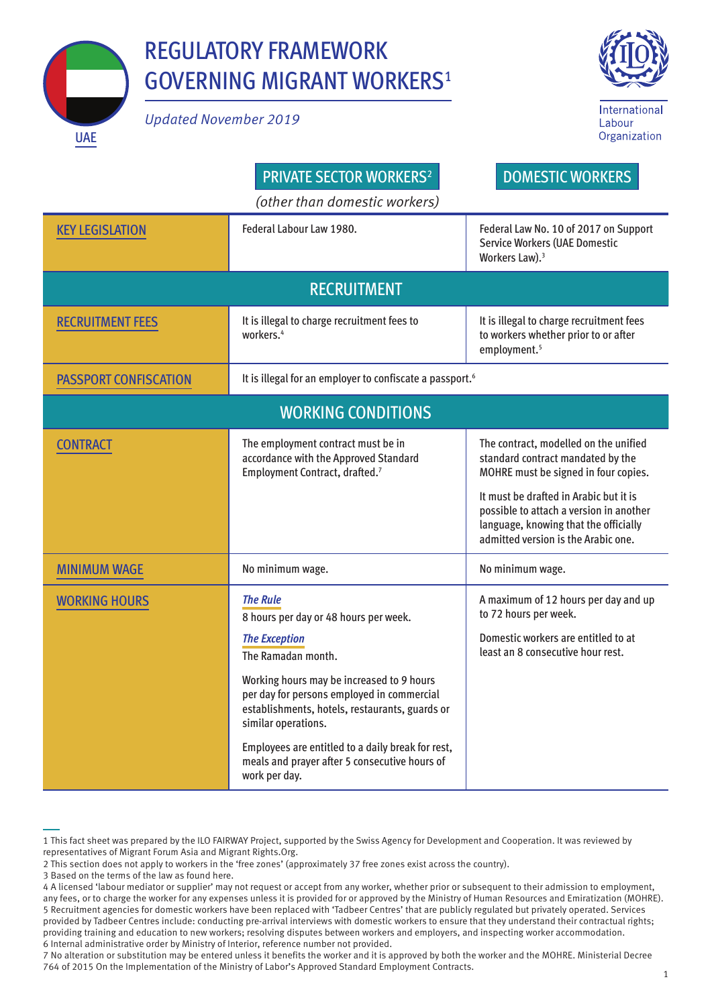

## REGULATORY FRAMEWORK GOVERNING MIGRANT WORKERS1

*Updated November 2019* 



| <b>PRIVATE SECTOR WORKERS<sup>2</sup></b><br><b>DOMESTIC WORKERS</b><br>(other than domestic workers) |                                                                                                                                                                                                                                                                                                                                                                                                   |                                                                                                                                                                                                                                                                                         |  |  |
|-------------------------------------------------------------------------------------------------------|---------------------------------------------------------------------------------------------------------------------------------------------------------------------------------------------------------------------------------------------------------------------------------------------------------------------------------------------------------------------------------------------------|-----------------------------------------------------------------------------------------------------------------------------------------------------------------------------------------------------------------------------------------------------------------------------------------|--|--|
| <b>KEY LEGISLATION</b>                                                                                | Federal Labour Law 1980.                                                                                                                                                                                                                                                                                                                                                                          | Federal Law No. 10 of 2017 on Support<br><b>Service Workers (UAE Domestic</b><br>Workers Law). <sup>3</sup>                                                                                                                                                                             |  |  |
| <b>RECRUITMENT</b>                                                                                    |                                                                                                                                                                                                                                                                                                                                                                                                   |                                                                                                                                                                                                                                                                                         |  |  |
| <b>RECRUITMENT FEES</b>                                                                               | It is illegal to charge recruitment fees to<br>workers. <sup>4</sup>                                                                                                                                                                                                                                                                                                                              | It is illegal to charge recruitment fees<br>to workers whether prior to or after<br>employment. <sup>5</sup>                                                                                                                                                                            |  |  |
| <b>PASSPORT CONFISCATION</b>                                                                          | It is illegal for an employer to confiscate a passport. <sup>6</sup>                                                                                                                                                                                                                                                                                                                              |                                                                                                                                                                                                                                                                                         |  |  |
| <b>WORKING CONDITIONS</b>                                                                             |                                                                                                                                                                                                                                                                                                                                                                                                   |                                                                                                                                                                                                                                                                                         |  |  |
| <b>CONTRACT</b>                                                                                       | The employment contract must be in<br>accordance with the Approved Standard<br>Employment Contract, drafted.7                                                                                                                                                                                                                                                                                     | The contract, modelled on the unified<br>standard contract mandated by the<br>MOHRE must be signed in four copies.<br>It must be drafted in Arabic but it is<br>possible to attach a version in another<br>language, knowing that the officially<br>admitted version is the Arabic one. |  |  |
| <b>MINIMUM WAGE</b>                                                                                   | No minimum wage.                                                                                                                                                                                                                                                                                                                                                                                  | No minimum wage.                                                                                                                                                                                                                                                                        |  |  |
| <b>WORKING HOURS</b>                                                                                  | <b>The Rule</b><br>8 hours per day or 48 hours per week.<br><b>The Exception</b><br>The Ramadan month.<br>Working hours may be increased to 9 hours<br>per day for persons employed in commercial<br>establishments, hotels, restaurants, guards or<br>similar operations.<br>Employees are entitled to a daily break for rest,<br>meals and prayer after 5 consecutive hours of<br>work per day. | A maximum of 12 hours per day and up<br>to 72 hours per week.<br>Domestic workers are entitled to at<br>least an 8 consecutive hour rest.                                                                                                                                               |  |  |

<sup>1</sup> This fact sheet was prepared by the ILO FAIRWAY Project, supported by the Swiss Agency for Development and Cooperation. It was reviewed by representatives of Migrant Forum Asia and Migrant Rights.Org.

<sup>2</sup> This section does not apply to workers in the 'free zones' (approximately 37 free zones exist across the country).

<sup>3</sup> Based on the terms of the law as found here.

<sup>4</sup> A licensed 'labour mediator or supplier' may not request or accept from any worker, whether prior or subsequent to their admission to employment, any fees, or to charge the worker for any expenses unless it is provided for or approved by the Ministry of Human Resources and Emiratization (MOHRE). 5 Recruitment agencies for domestic workers have been replaced with 'Tadbeer Centres' that are publicly regulated but privately operated. Services provided by Tadbeer Centres include: conducting pre-arrival interviews with domestic workers to ensure that they understand their contractual rights; providing training and education to new workers; resolving disputes between workers and employers, and inspecting worker accommodation. 6 Internal administrative order by Ministry of Interior, reference number not provided.

<sup>7</sup> No alteration or substitution may be entered unless it benefits the worker and it is approved by both the worker and the MOHRE. Ministerial Decree 764 of 2015 On the Implementation of the Ministry of Labor's Approved Standard Employment Contracts. 1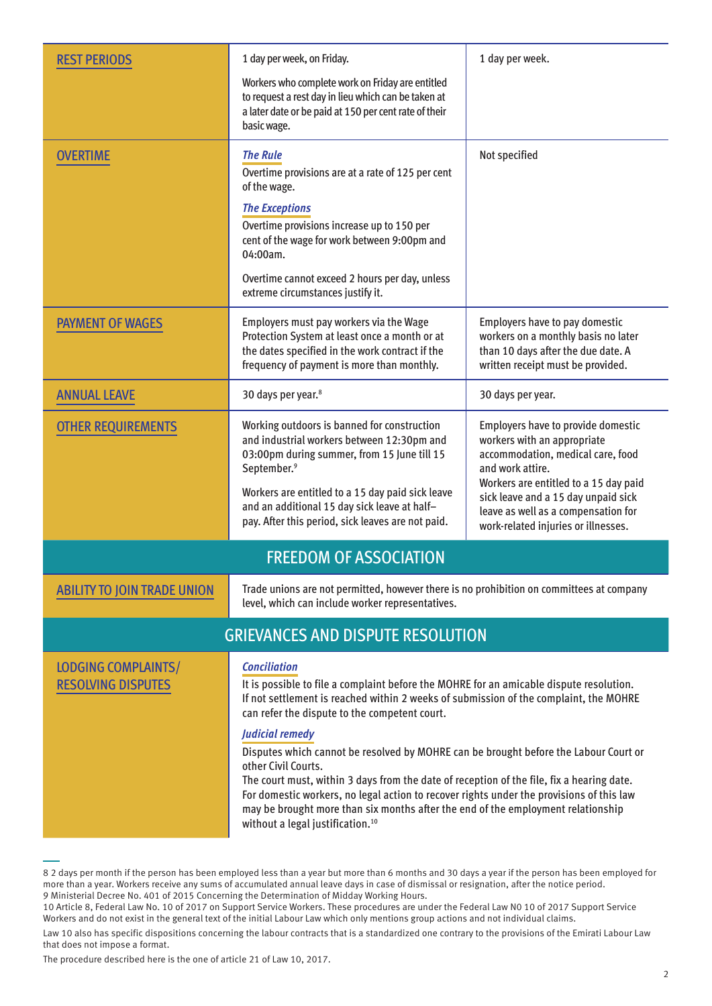| <b>REST PERIODS</b>                              | 1 day per week, on Friday.                                                                                                                                                                                                                                                                                                                                                                                                                                                                                                                                                                                                                                                                                              | 1 day per week.                                                                                                                                                                                                                                                                          |  |  |
|--------------------------------------------------|-------------------------------------------------------------------------------------------------------------------------------------------------------------------------------------------------------------------------------------------------------------------------------------------------------------------------------------------------------------------------------------------------------------------------------------------------------------------------------------------------------------------------------------------------------------------------------------------------------------------------------------------------------------------------------------------------------------------------|------------------------------------------------------------------------------------------------------------------------------------------------------------------------------------------------------------------------------------------------------------------------------------------|--|--|
|                                                  | Workers who complete work on Friday are entitled<br>to request a rest day in lieu which can be taken at<br>a later date or be paid at 150 per cent rate of their<br>basic wage.                                                                                                                                                                                                                                                                                                                                                                                                                                                                                                                                         |                                                                                                                                                                                                                                                                                          |  |  |
| OVERTIME                                         | <b>The Rule</b><br>Overtime provisions are at a rate of 125 per cent<br>of the wage.<br><b>The Exceptions</b><br>Overtime provisions increase up to 150 per<br>cent of the wage for work between 9:00pm and<br>04:00am.<br>Overtime cannot exceed 2 hours per day, unless<br>extreme circumstances justify it.                                                                                                                                                                                                                                                                                                                                                                                                          | Not specified                                                                                                                                                                                                                                                                            |  |  |
| <b>PAYMENT OF WAGES</b>                          | Employers must pay workers via the Wage<br>Protection System at least once a month or at<br>the dates specified in the work contract if the<br>frequency of payment is more than monthly.                                                                                                                                                                                                                                                                                                                                                                                                                                                                                                                               | Employers have to pay domestic<br>workers on a monthly basis no later<br>than 10 days after the due date. A<br>written receipt must be provided.                                                                                                                                         |  |  |
| <b>ANNUAL LEAVE</b>                              | 30 days per year. <sup>8</sup>                                                                                                                                                                                                                                                                                                                                                                                                                                                                                                                                                                                                                                                                                          | 30 days per year.                                                                                                                                                                                                                                                                        |  |  |
| <b>OTHER REQUIREMENTS</b>                        | Working outdoors is banned for construction<br>and industrial workers between 12:30pm and<br>03:00pm during summer, from 15 June till 15<br>September. <sup>9</sup><br>Workers are entitled to a 15 day paid sick leave<br>and an additional 15 day sick leave at half-<br>pay. After this period, sick leaves are not paid.                                                                                                                                                                                                                                                                                                                                                                                            | Employers have to provide domestic<br>workers with an appropriate<br>accommodation, medical care, food<br>and work attire.<br>Workers are entitled to a 15 day paid<br>sick leave and a 15 day unpaid sick<br>leave as well as a compensation for<br>work-related injuries or illnesses. |  |  |
| <b>FREEDOM OF ASSOCIATION</b>                    |                                                                                                                                                                                                                                                                                                                                                                                                                                                                                                                                                                                                                                                                                                                         |                                                                                                                                                                                                                                                                                          |  |  |
| <b>ABILITY TO JOIN TRADE UNION</b>               | Trade unions are not permitted, however there is no prohibition on committees at company<br>level, which can include worker representatives.                                                                                                                                                                                                                                                                                                                                                                                                                                                                                                                                                                            |                                                                                                                                                                                                                                                                                          |  |  |
| <b>GRIEVANCES AND DISPUTE RESOLUTION</b>         |                                                                                                                                                                                                                                                                                                                                                                                                                                                                                                                                                                                                                                                                                                                         |                                                                                                                                                                                                                                                                                          |  |  |
| LODGING COMPLAINTS/<br><b>RESOLVING DISPUTES</b> | <b>Conciliation</b><br>It is possible to file a complaint before the MOHRE for an amicable dispute resolution.<br>If not settlement is reached within 2 weeks of submission of the complaint, the MOHRE<br>can refer the dispute to the competent court.<br>Judicial remedy<br>Disputes which cannot be resolved by MOHRE can be brought before the Labour Court or<br>other Civil Courts.<br>The court must, within 3 days from the date of reception of the file, fix a hearing date.<br>For domestic workers, no legal action to recover rights under the provisions of this law<br>may be brought more than six months after the end of the employment relationship<br>without a legal justification. <sup>10</sup> |                                                                                                                                                                                                                                                                                          |  |  |

<sup>8 2</sup> days per month if the person has been employed less than a year but more than 6 months and 30 days a year if the person has been employed for more than a year. Workers receive any sums of accumulated annual leave days in case of dismissal or resignation, after the notice period. 9 Ministerial Decree No. 401 of 2015 Concerning the Determination of Midday Working Hours.

<sup>10</sup> Article 8, Federal Law No. 10 of 2017 on Support Service Workers. These procedures are under the Federal Law N0 10 of 2017 Support Service Workers and do not exist in the general text of the initial Labour Law which only mentions group actions and not individual claims.

Law 10 also has specific dispositions concerning the labour contracts that is a standardized one contrary to the provisions of the Emirati Labour Law that does not impose a format.

The procedure described here is the one of article 21 of Law 10, 2017.